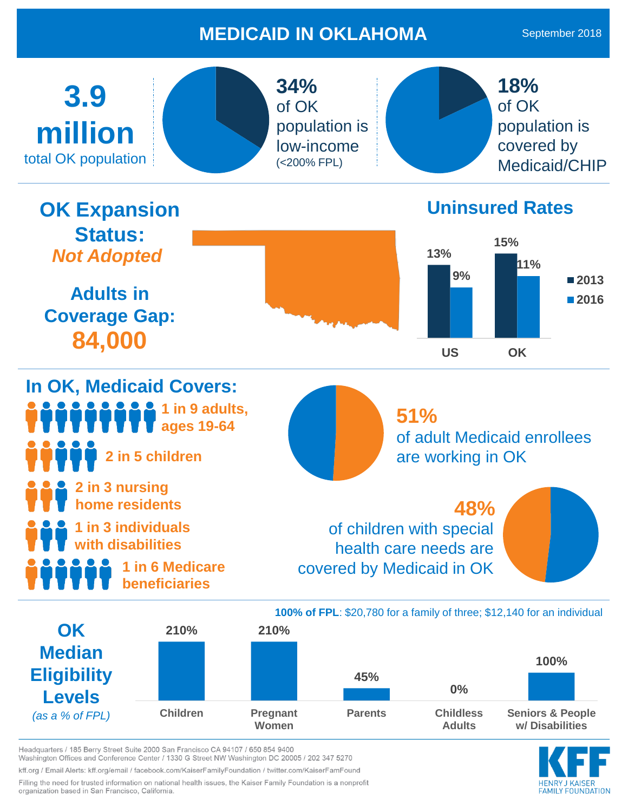## **MEDICAID IN OKLAHOMA**



Headquarters / 185 Berry Street Suite 2000 San Francisco CA 94107 / 650 854 9400 Washington Offices and Conference Center / 1330 G Street NW Washington DC 20005 / 202 347 5270 kff.org / Email Alerts: kff.org/email / facebook.com/KaiserFamilyFoundation / twitter.com/KaiserFamFound

Filling the need for trusted information on national health issues, the Kaiser Family Foundation is a nonprofit organization based in San Francisco, California.

**EAMILY FOUNDATION**